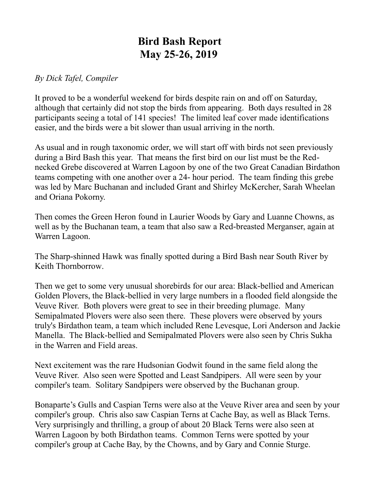## **Bird Bash Report May 25-26, 2019**

## *By Dick Tafel, Compiler*

It proved to be a wonderful weekend for birds despite rain on and off on Saturday, although that certainly did not stop the birds from appearing. Both days resulted in 28 participants seeing a total of 141 species! The limited leaf cover made identifications easier, and the birds were a bit slower than usual arriving in the north.

As usual and in rough taxonomic order, we will start off with birds not seen previously during a Bird Bash this year. That means the first bird on our list must be the Rednecked Grebe discovered at Warren Lagoon by one of the two Great Canadian Birdathon teams competing with one another over a 24- hour period. The team finding this grebe was led by Marc Buchanan and included Grant and Shirley McKercher, Sarah Wheelan and Oriana Pokorny.

Then comes the Green Heron found in Laurier Woods by Gary and Luanne Chowns, as well as by the Buchanan team, a team that also saw a Red-breasted Merganser, again at Warren Lagoon.

The Sharp-shinned Hawk was finally spotted during a Bird Bash near South River by Keith Thornborrow.

Then we get to some very unusual shorebirds for our area: Black-bellied and American Golden Plovers, the Black-bellied in very large numbers in a flooded field alongside the Veuve River. Both plovers were great to see in their breeding plumage. Many Semipalmated Plovers were also seen there. These plovers were observed by yours truly's Birdathon team, a team which included Rene Levesque, Lori Anderson and Jackie Manella. The Black-bellied and Semipalmated Plovers were also seen by Chris Sukha in the Warren and Field areas.

Next excitement was the rare Hudsonian Godwit found in the same field along the Veuve River. Also seen were Spotted and Least Sandpipers. All were seen by your compiler's team. Solitary Sandpipers were observed by the Buchanan group.

Bonaparte's Gulls and Caspian Terns were also at the Veuve River area and seen by your compiler's group. Chris also saw Caspian Terns at Cache Bay, as well as Black Terns. Very surprisingly and thrilling, a group of about 20 Black Terns were also seen at Warren Lagoon by both Birdathon teams. Common Terns were spotted by your compiler's group at Cache Bay, by the Chowns, and by Gary and Connie Sturge.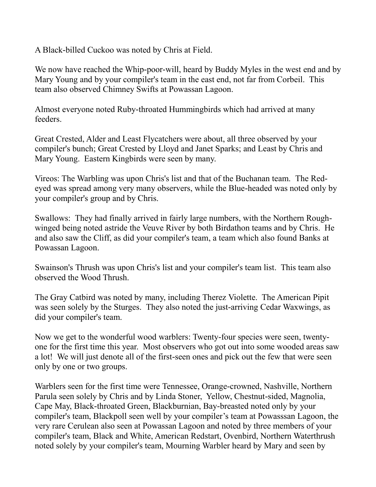A Black-billed Cuckoo was noted by Chris at Field.

We now have reached the Whip-poor-will, heard by Buddy Myles in the west end and by Mary Young and by your compiler's team in the east end, not far from Corbeil. This team also observed Chimney Swifts at Powassan Lagoon.

Almost everyone noted Ruby-throated Hummingbirds which had arrived at many feeders.

Great Crested, Alder and Least Flycatchers were about, all three observed by your compiler's bunch; Great Crested by Lloyd and Janet Sparks; and Least by Chris and Mary Young. Eastern Kingbirds were seen by many.

Vireos: The Warbling was upon Chris's list and that of the Buchanan team. The Redeyed was spread among very many observers, while the Blue-headed was noted only by your compiler's group and by Chris.

Swallows: They had finally arrived in fairly large numbers, with the Northern Roughwinged being noted astride the Veuve River by both Birdathon teams and by Chris. He and also saw the Cliff, as did your compiler's team, a team which also found Banks at Powassan Lagoon.

Swainson's Thrush was upon Chris's list and your compiler's team list. This team also observed the Wood Thrush.

The Gray Catbird was noted by many, including Therez Violette. The American Pipit was seen solely by the Sturges. They also noted the just-arriving Cedar Waxwings, as did your compiler's team.

Now we get to the wonderful wood warblers: Twenty-four species were seen, twentyone for the first time this year. Most observers who got out into some wooded areas saw a lot! We will just denote all of the first-seen ones and pick out the few that were seen only by one or two groups.

Warblers seen for the first time were Tennessee, Orange-crowned, Nashville, Northern Parula seen solely by Chris and by Linda Stoner, Yellow, Chestnut-sided, Magnolia, Cape May, Black-throated Green, Blackburnian, Bay-breasted noted only by your compiler's team, Blackpoll seen well by your compiler's team at Powasssan Lagoon, the very rare Cerulean also seen at Powassan Lagoon and noted by three members of your compiler's team, Black and White, American Redstart, Ovenbird, Northern Waterthrush noted solely by your compiler's team, Mourning Warbler heard by Mary and seen by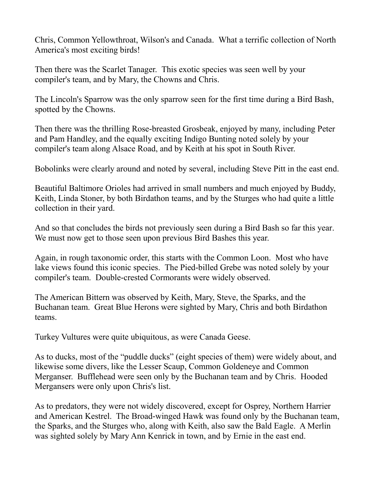Chris, Common Yellowthroat, Wilson's and Canada. What a terrific collection of North America's most exciting birds!

Then there was the Scarlet Tanager. This exotic species was seen well by your compiler's team, and by Mary, the Chowns and Chris.

The Lincoln's Sparrow was the only sparrow seen for the first time during a Bird Bash, spotted by the Chowns.

Then there was the thrilling Rose-breasted Grosbeak, enjoyed by many, including Peter and Pam Handley, and the equally exciting Indigo Bunting noted solely by your compiler's team along Alsace Road, and by Keith at his spot in South River.

Bobolinks were clearly around and noted by several, including Steve Pitt in the east end.

Beautiful Baltimore Orioles had arrived in small numbers and much enjoyed by Buddy, Keith, Linda Stoner, by both Birdathon teams, and by the Sturges who had quite a little collection in their yard.

And so that concludes the birds not previously seen during a Bird Bash so far this year. We must now get to those seen upon previous Bird Bashes this year.

Again, in rough taxonomic order, this starts with the Common Loon. Most who have lake views found this iconic species. The Pied-billed Grebe was noted solely by your compiler's team. Double-crested Cormorants were widely observed.

The American Bittern was observed by Keith, Mary, Steve, the Sparks, and the Buchanan team. Great Blue Herons were sighted by Mary, Chris and both Birdathon teams.

Turkey Vultures were quite ubiquitous, as were Canada Geese.

As to ducks, most of the "puddle ducks" (eight species of them) were widely about, and likewise some divers, like the Lesser Scaup, Common Goldeneye and Common Merganser. Bufflehead were seen only by the Buchanan team and by Chris. Hooded Mergansers were only upon Chris's list.

As to predators, they were not widely discovered, except for Osprey, Northern Harrier and American Kestrel. The Broad-winged Hawk was found only by the Buchanan team, the Sparks, and the Sturges who, along with Keith, also saw the Bald Eagle. A Merlin was sighted solely by Mary Ann Kenrick in town, and by Ernie in the east end.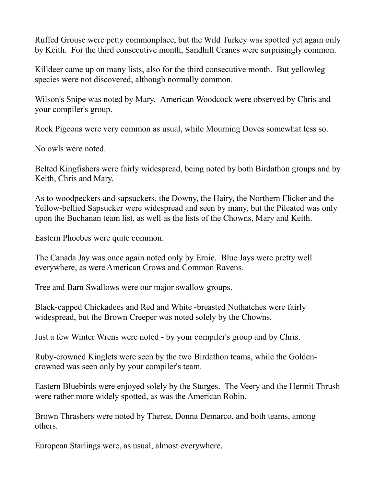Ruffed Grouse were petty commonplace, but the Wild Turkey was spotted yet again only by Keith. For the third consecutive month, Sandhill Cranes were surprisingly common.

Killdeer came up on many lists, also for the third consecutive month. But yellowleg species were not discovered, although normally common.

Wilson's Snipe was noted by Mary. American Woodcock were observed by Chris and your compiler's group.

Rock Pigeons were very common as usual, while Mourning Doves somewhat less so.

No owls were noted.

Belted Kingfishers were fairly widespread, being noted by both Birdathon groups and by Keith, Chris and Mary.

As to woodpeckers and sapsuckers, the Downy, the Hairy, the Northern Flicker and the Yellow-bellied Sapsucker were widespread and seen by many, but the Pileated was only upon the Buchanan team list, as well as the lists of the Chowns, Mary and Keith.

Eastern Phoebes were quite common.

The Canada Jay was once again noted only by Ernie. Blue Jays were pretty well everywhere, as were American Crows and Common Ravens.

Tree and Barn Swallows were our major swallow groups.

Black-capped Chickadees and Red and White -breasted Nuthatches were fairly widespread, but the Brown Creeper was noted solely by the Chowns.

Just a few Winter Wrens were noted - by your compiler's group and by Chris.

Ruby-crowned Kinglets were seen by the two Birdathon teams, while the Goldencrowned was seen only by your compiler's team.

Eastern Bluebirds were enjoyed solely by the Sturges. The Veery and the Hermit Thrush were rather more widely spotted, as was the American Robin.

Brown Thrashers were noted by Therez, Donna Demarco, and both teams, among others.

European Starlings were, as usual, almost everywhere.